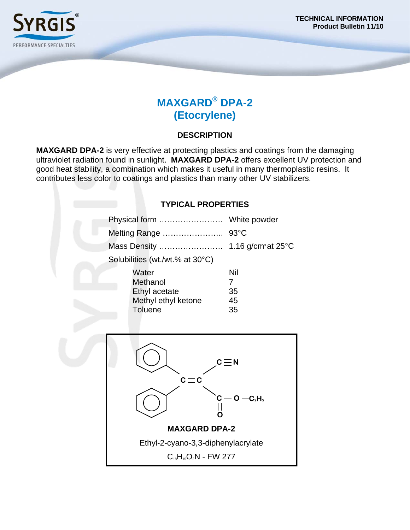

# **MAXGARD® DPA-2 (Etocrylene)**

### **DESCRIPTION**

**MAXGARD DPA-2** is very effective at protecting plastics and coatings from the damaging ultraviolet radiation found in sunlight. **MAXGARD DPA-2** offers excellent UV protection and good heat stability, a combination which makes it useful in many thermoplastic resins. It contributes less color to coatings and plastics than many other UV stabilizers.

### **TYPICAL PROPERTIES**

|                                 | Mass Density        | 1.16 g/cm <sup>3</sup> at $25^{\circ}$ C |
|---------------------------------|---------------------|------------------------------------------|
| Solubilities (wt./wt.% at 30°C) |                     |                                          |
| Water                           |                     | Nil                                      |
| Methanol                        |                     | 7                                        |
| Ethyl acetate                   |                     | 35                                       |
|                                 | Methyl ethyl ketone | 45                                       |
| <b>Toluene</b>                  |                     | 35                                       |